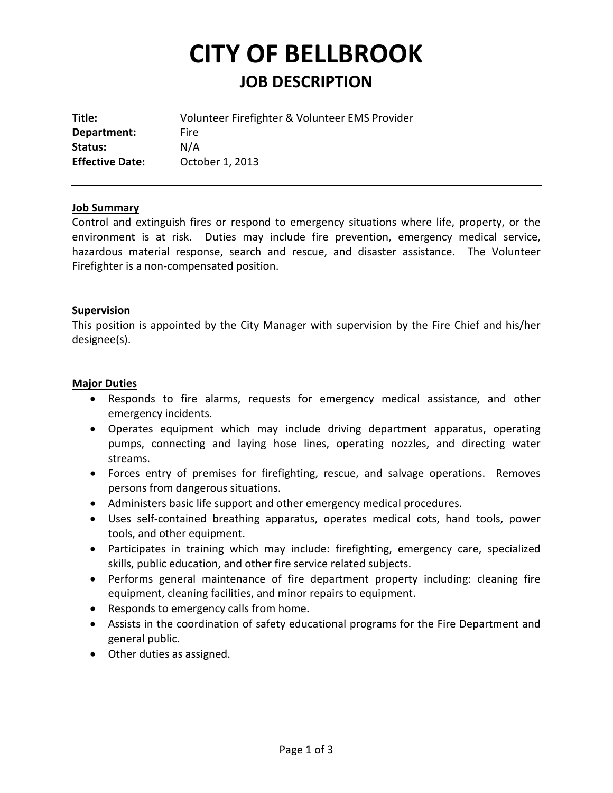# **CITY OF BELLBROOK JOB DESCRIPTION**

| Title:                 | Volunteer Firefighter & Volunteer EMS Provider |
|------------------------|------------------------------------------------|
| Department:            | Fire                                           |
| Status:                | N/A                                            |
| <b>Effective Date:</b> | October 1, 2013                                |

# **Job Summary**

Control and extinguish fires or respond to emergency situations where life, property, or the environment is at risk. Duties may include fire prevention, emergency medical service, hazardous material response, search and rescue, and disaster assistance. The Volunteer Firefighter is a non-compensated position.

#### **Supervision**

This position is appointed by the City Manager with supervision by the Fire Chief and his/her designee(s).

#### **Major Duties**

- Responds to fire alarms, requests for emergency medical assistance, and other emergency incidents.
- Operates equipment which may include driving department apparatus, operating pumps, connecting and laying hose lines, operating nozzles, and directing water streams.
- Forces entry of premises for firefighting, rescue, and salvage operations. Removes persons from dangerous situations.
- Administers basic life support and other emergency medical procedures.
- Uses self-contained breathing apparatus, operates medical cots, hand tools, power tools, and other equipment.
- Participates in training which may include: firefighting, emergency care, specialized skills, public education, and other fire service related subjects.
- Performs general maintenance of fire department property including: cleaning fire equipment, cleaning facilities, and minor repairs to equipment.
- Responds to emergency calls from home.
- Assists in the coordination of safety educational programs for the Fire Department and general public.
- Other duties as assigned.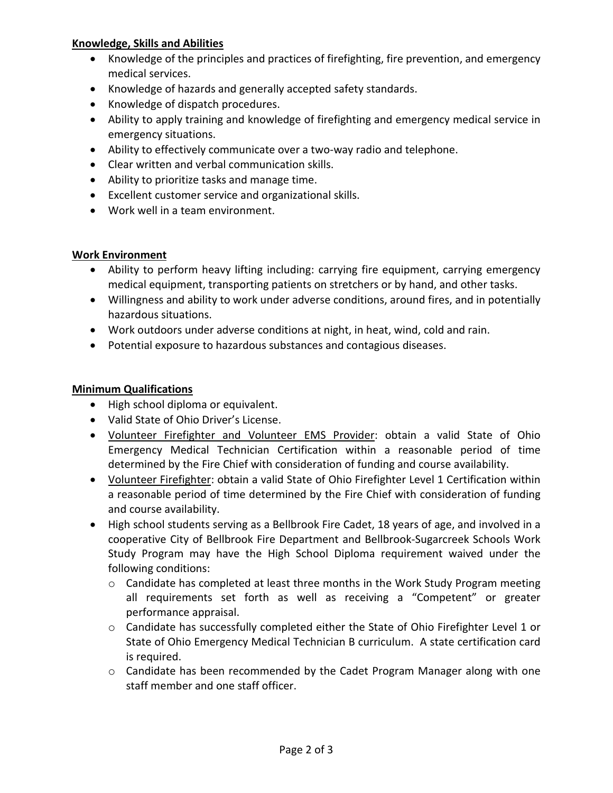# **Knowledge, Skills and Abilities**

- Knowledge of the principles and practices of firefighting, fire prevention, and emergency medical services.
- Knowledge of hazards and generally accepted safety standards.
- Knowledge of dispatch procedures.
- Ability to apply training and knowledge of firefighting and emergency medical service in emergency situations.
- Ability to effectively communicate over a two-way radio and telephone.
- Clear written and verbal communication skills.
- Ability to prioritize tasks and manage time.
- Excellent customer service and organizational skills.
- Work well in a team environment.

# **Work Environment**

- Ability to perform heavy lifting including: carrying fire equipment, carrying emergency medical equipment, transporting patients on stretchers or by hand, and other tasks.
- Willingness and ability to work under adverse conditions, around fires, and in potentially hazardous situations.
- Work outdoors under adverse conditions at night, in heat, wind, cold and rain.
- Potential exposure to hazardous substances and contagious diseases.

# **Minimum Qualifications**

- High school diploma or equivalent.
- Valid State of Ohio Driver's License.
- Volunteer Firefighter and Volunteer EMS Provider: obtain a valid State of Ohio Emergency Medical Technician Certification within a reasonable period of time determined by the Fire Chief with consideration of funding and course availability.
- Volunteer Firefighter: obtain a valid State of Ohio Firefighter Level 1 Certification within a reasonable period of time determined by the Fire Chief with consideration of funding and course availability.
- High school students serving as a Bellbrook Fire Cadet, 18 years of age, and involved in a cooperative City of Bellbrook Fire Department and Bellbrook-Sugarcreek Schools Work Study Program may have the High School Diploma requirement waived under the following conditions:
	- $\circ$  Candidate has completed at least three months in the Work Study Program meeting all requirements set forth as well as receiving a "Competent" or greater performance appraisal.
	- o Candidate has successfully completed either the State of Ohio Firefighter Level 1 or State of Ohio Emergency Medical Technician B curriculum. A state certification card is required.
	- o Candidate has been recommended by the Cadet Program Manager along with one staff member and one staff officer.